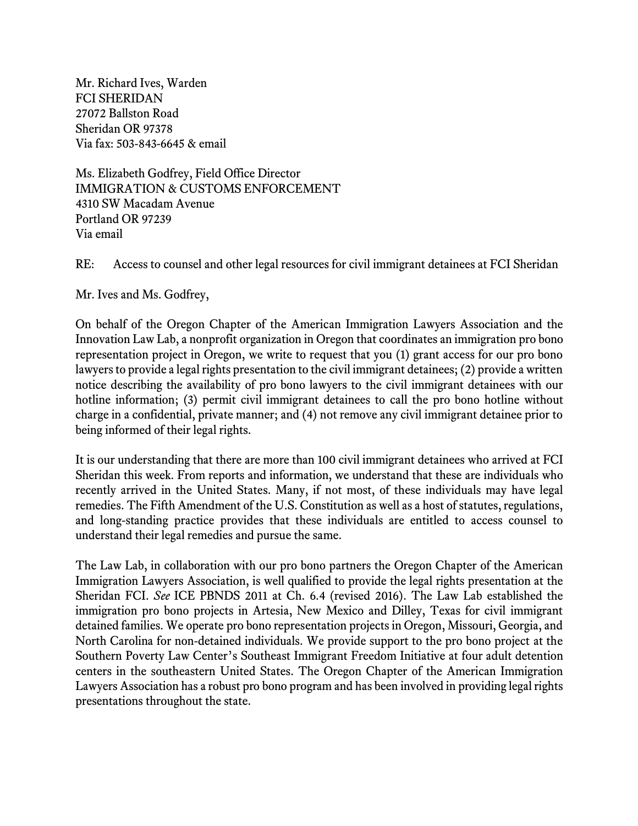Mr. Richard Ives, Warden FCI SHERIDAN 27072 Ballston Road Sheridan OR 97378 Via fax: 503-843-6645 & email

Ms. Elizabeth Godfrey, Field Office Director IMMIGRATION & CUSTOMS ENFORCEMENT 4310 SW Macadam Avenue Portland OR 97239 Via email

RE: Access to counsel and other legal resources for civil immigrant detainees at FCI Sheridan

Mr. Ives and Ms. Godfrey,

On behalf of the Oregon Chapter of the American Immigration Lawyers Association and the Innovation Law Lab, a nonprofit organization in Oregon that coordinates an immigration pro bono representation project in Oregon, we write to request that you (1) grant access for our pro bono lawyers to provide a legal rights presentation to the civil immigrant detainees; (2) provide a written notice describing the availability of pro bono lawyers to the civil immigrant detainees with our hotline information; (3) permit civil immigrant detainees to call the pro bono hotline without charge in a confidential, private manner; and (4) not remove any civil immigrant detainee prior to being informed of their legal rights.

It is our understanding that there are more than 100 civil immigrant detainees who arrived at FCI Sheridan this week. From reports and information, we understand that these are individuals who recently arrived in the United States. Many, if not most, of these individuals may have legal remedies. The Fifth Amendment of the U.S. Constitution as well as a host of statutes, regulations, and long-standing practice provides that these individuals are entitled to access counsel to understand their legal remedies and pursue the same.

The Law Lab, in collaboration with our pro bono partners the Oregon Chapter of the American Immigration Lawyers Association, is well qualified to provide the legal rights presentation at the Sheridan FCI. *See* ICE PBNDS 2011 at Ch. 6.4 (revised 2016). The Law Lab established the immigration pro bono projects in Artesia, New Mexico and Dilley, Texas for civil immigrant detained families. We operate pro bono representation projects in Oregon, Missouri, Georgia, and North Carolina for non-detained individuals. We provide support to the pro bono project at the Southern Poverty Law Center's Southeast Immigrant Freedom Initiative at four adult detention centers in the southeastern United States. The Oregon Chapter of the American Immigration Lawyers Association has a robust pro bono program and has been involved in providing legal rights presentations throughout the state.